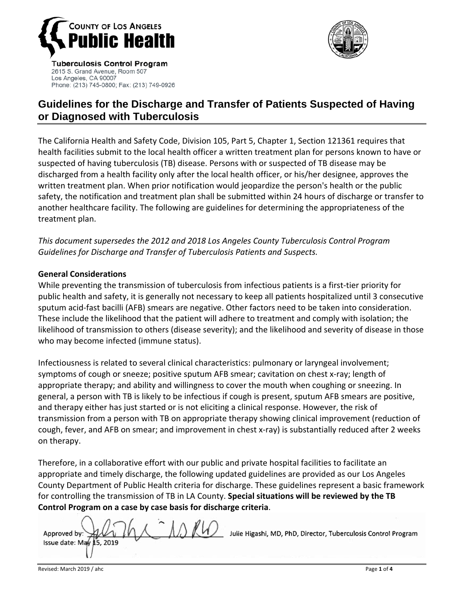

2615 S. Grand Avenue, Room 507

Phone: (213) 745-0800; Fax: (213) 749-0926

Los Angeles, CA 90007



# **Guidelines for the Discharge and Transfer of Patients Suspected of Having or Diagnosed with Tuberculosis**

The California Health and Safety Code, Division 105, Part 5, Chapter 1, Section 121361 requires that health facilities submit to the local health officer a written treatment plan for persons known to have or suspected of having tuberculosis (TB) disease. Persons with or suspected of TB disease may be discharged from a health facility only after the local health officer, or his/her designee, approves the written treatment plan. When prior notification would jeopardize the person's health or the public safety, the notification and treatment plan shall be submitted within 24 hours of discharge or transfer to another healthcare facility. The following are guidelines for determining the appropriateness of the treatment plan.

*This document supersedes the 2012 and 2018 Los Angeles County Tuberculosis Control Program Guidelines for Discharge and Transfer of Tuberculosis Patients and Suspects.*

#### **General Considerations**

While preventing the transmission of tuberculosis from infectious patients is a first-tier priority for public health and safety, it is generally not necessary to keep all patients hospitalized until 3 consecutive sputum acid‐fast bacilli (AFB) smears are negative. Other factors need to be taken into consideration. These include the likelihood that the patient will adhere to treatment and comply with isolation; the likelihood of transmission to others (disease severity); and the likelihood and severity of disease in those who may become infected (immune status).

Infectiousness is related to several clinical characteristics: pulmonary or laryngeal involvement; symptoms of cough or sneeze; positive sputum AFB smear; cavitation on chest x-ray; length of appropriate therapy; and ability and willingness to cover the mouth when coughing or sneezing. In general, a person with TB is likely to be infectious if cough is present, sputum AFB smears are positive, and therapy either has just started or is not eliciting a clinical response. However, the risk of transmission from a person with TB on appropriate therapy showing clinical improvement (reduction of cough, fever, and AFB on smear; and improvement in chest x‐ray) is substantially reduced after 2 weeks on therapy.

Therefore, in a collaborative effort with our public and private hospital facilities to facilitate an appropriate and timely discharge, the following updated guidelines are provided as our Los Angeles County Department of Public Health criteria for discharge. These guidelines represent a basic framework for controlling the transmission of TB in LA County. **Special situations will be reviewed by the TB Control Program on a case by case basis for discharge criteria**.

Julie Higashi, MD, PhD, Director, Tuberculosis Control Program Approved by: Issue date: May 15.2019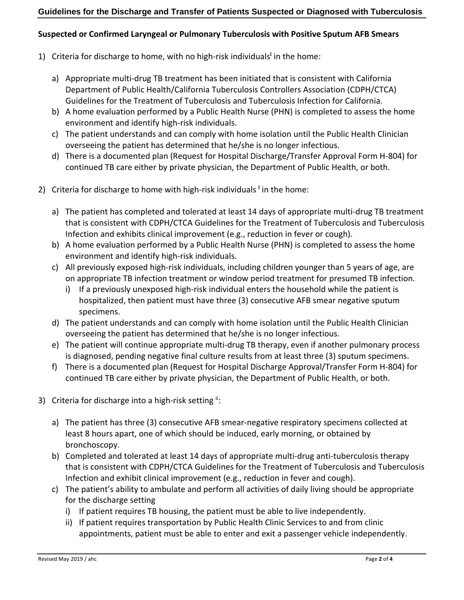#### **Guidelines for the Discharge and Transfer of Patients Suspected or Diagnosed with Tuberculosis**

## **Suspected or Confirmed Laryngeal or Pulmonary Tuberculosis with Positive Sputum AFB Smears**

- 1) Criteria for discharge to home, with no high‐risk individuals**<sup>i</sup>** in the home:
	- a) Appropriate multi-drug TB treatment has been initiated that is consistent with California Department of Public Health/California Tuberculosis Controllers Association (CDPH/CTCA) Guidelines for the Treatment of Tuberculosis and Tuberculosis Infection for California.
	- b) A home evaluation performed by a Public Health Nurse (PHN) is completed to assess the home environment and identify high‐risk individuals.
	- c) The patient understands and can comply with home isolation until the Public Health Clinician overseeing the patient has determined that he/she is no longer infectious.
	- d) There is a documented plan (Request for Hospital Discharge/Transfer Approval Form H‐804) for continued TB care either by private physician, the Department of Public Health, or both.
- 2) Criteria for discharge to home with high‐risk individuals **<sup>i</sup>** in the home:
	- a) The patient has completed and tolerated at least 14 days of appropriate multi-drug TB treatment that is consistent with CDPH/CTCA Guidelines for the Treatment of Tuberculosis and Tuberculosis Infection and exhibits clinical improvement (e.g., reduction in fever or cough).
	- b) A home evaluation performed by a Public Health Nurse (PHN) is completed to assess the home environment and identify high‐risk individuals.
	- c) All previously exposed high‐risk individuals, including children younger than 5 years of age, are on appropriate TB infection treatment or window period treatment for presumed TB infection.
		- i) If a previously unexposed high-risk individual enters the household while the patient is hospitalized, then patient must have three (3) consecutive AFB smear negative sputum specimens.
	- d) The patient understands and can comply with home isolation until the Public Health Clinician overseeing the patient has determined that he/she is no longer infectious.
	- e) The patient will continue appropriate multi‐drug TB therapy, even if another pulmonary process is diagnosed, pending negative final culture results from at least three (3) sputum specimens.
	- f) There is a documented plan (Request for Hospital Discharge Approval/Transfer Form H‐804) for continued TB care either by private physician, the Department of Public Health, or both.
- 3) Criteria for discharge into a high-risk setting ii:
	- a) The patient has three (3) consecutive AFB smear-negative respiratory specimens collected at least 8 hours apart, one of which should be induced, early morning, or obtained by bronchoscopy.
	- b) Completed and tolerated at least 14 days of appropriate multi-drug anti-tuberculosis therapy that is consistent with CDPH/CTCA Guidelines for the Treatment of Tuberculosis and Tuberculosis Infection and exhibit clinical improvement (e.g., reduction in fever and cough).
	- c) The patient's ability to ambulate and perform all activities of daily living should be appropriate for the discharge setting
		- i) If patient requires TB housing, the patient must be able to live independently.
		- ii) If patient requires transportation by Public Health Clinic Services to and from clinic appointments, patient must be able to enter and exit a passenger vehicle independently.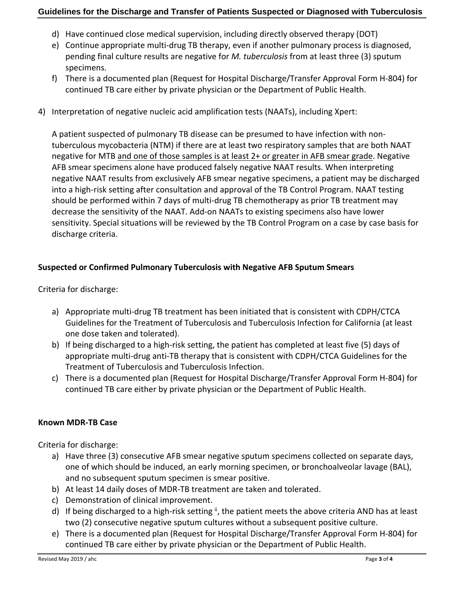#### **Guidelines for the Discharge and Transfer of Patients Suspected or Diagnosed with Tuberculosis**

- d) Have continued close medical supervision, including directly observed therapy (DOT)
- e) Continue appropriate multi‐drug TB therapy, even if another pulmonary process is diagnosed, pending final culture results are negative for *M. tuberculosis* from at least three (3) sputum specimens.
- f) There is a documented plan (Request for Hospital Discharge/Transfer Approval Form H‐804) for continued TB care either by private physician or the Department of Public Health.
- 4) Interpretation of negative nucleic acid amplification tests (NAATs), including Xpert:

A patient suspected of pulmonary TB disease can be presumed to have infection with non‐ tuberculous mycobacteria (NTM) if there are at least two respiratory samples that are both NAAT negative for MTB and one of those samples is at least 2+ or greater in AFB smear grade. Negative AFB smear specimens alone have produced falsely negative NAAT results. When interpreting negative NAAT results from exclusively AFB smear negative specimens, a patient may be discharged into a high-risk setting after consultation and approval of the TB Control Program. NAAT testing should be performed within 7 days of multi‐drug TB chemotherapy as prior TB treatment may decrease the sensitivity of the NAAT. Add‐on NAATs to existing specimens also have lower sensitivity. Special situations will be reviewed by the TB Control Program on a case by case basis for discharge criteria.

# **Suspected or Confirmed Pulmonary Tuberculosis with Negative AFB Sputum Smears**

Criteria for discharge:

- a) Appropriate multi-drug TB treatment has been initiated that is consistent with CDPH/CTCA Guidelines for the Treatment of Tuberculosis and Tuberculosis Infection for California (at least one dose taken and tolerated).
- b) If being discharged to a high-risk setting, the patient has completed at least five (5) days of appropriate multi‐drug anti‐TB therapy that is consistent with CDPH/CTCA Guidelines for the Treatment of Tuberculosis and Tuberculosis Infection.
- c) There is a documented plan (Request for Hospital Discharge/Transfer Approval Form H‐804) for continued TB care either by private physician or the Department of Public Health.

#### **Known MDR‐TB Case**

Criteria for discharge:

- a) Have three (3) consecutive AFB smear negative sputum specimens collected on separate days, one of which should be induced, an early morning specimen, or bronchoalveolar lavage (BAL), and no subsequent sputum specimen is smear positive.
- b) At least 14 daily doses of MDR‐TB treatment are taken and tolerated.
- c) Demonstration of clinical improvement.
- d) If being discharged to a high-risk setting <sup>ii</sup>, the patient meets the above criteria AND has at least two (2) consecutive negative sputum cultures without a subsequent positive culture.
- e) There is a documented plan (Request for Hospital Discharge/Transfer Approval Form H‐804) for continued TB care either by private physician or the Department of Public Health.